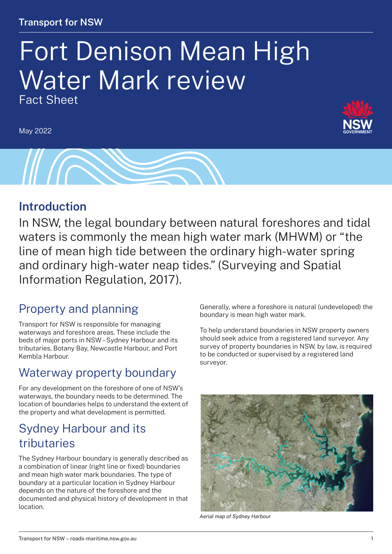#### **Transport for NSW**

# Fort Denison Mean High Water Mark review Fact Sheet

May 2022





#### **Introduction**

In NSW, the legal boundary between natural foreshores and tidal waters is commonly the mean high water mark (MHWM) or "the line of mean high tide between the ordinary high-water spring and ordinary high-water neap tides." (Surveying and Spatial Information Regulation, 2017).

### Property and planning

Transport for NSW is responsible for managing waterways and foreshore areas. These include the beds of major ports in NSW – Sydney Harbour and its tributaries, Botany Bay, Newcastle Harbour, and Port Kembla Harbour.

### Waterway property boundary

For any development on the foreshore of one of NSW's waterways, the boundary needs to be determined. The location of boundaries helps to understand the extent of the property and what development is permitted.

### Sydney Harbour and its tributaries

The Sydney Harbour boundary is generally described as a combination of linear (right line or fixed) boundaries and mean high water mark boundaries. The type of boundary at a particular location in Sydney Harbour depends on the nature of the foreshore and the documented and physical history of development in that location.

Generally, where a foreshore is natural (undeveloped) the boundary is mean high water mark.

To help understand boundaries in NSW property owners should seek advice from a registered land surveyor. Any survey of property boundaries in NSW, by law, is required to be conducted or supervised by a registered land surveyor.



*Aerial map of Sydney Harbour*